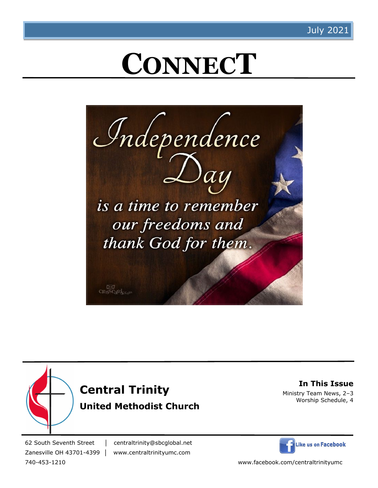# **CONNECT**







**In This Issue** Ministry Team News, 2–3 Worship Schedule, 4

62 South Seventh Street │ centraltrinity@sbcglobal.net Zanesville OH 43701-4399 │ www.centraltrinityumc.com



740-453-1210 www.facebook.com/centraltrinityumc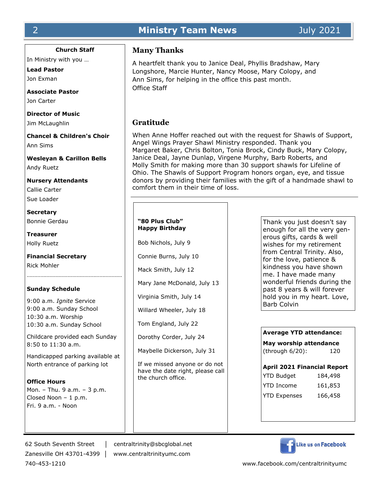# 2 **Ministry Team News** July 2021

# **Church Staff**

In Ministry with you …

**Lead Pastor** Jon Exman

**Associate Pastor** Jon Carter

**Director of Music** Jim McLaughlin

**Chancel & Children's Choir** Ann Sims

**Wesleyan & Carillon Bells** Andy Ruetz

**Nursery Attendants** Callie Carter Sue Loader

**Secretary** Bonnie Gerdau

**Treasurer** Holly Ruetz

**Financial Secretary** Rick Mohler

# **Sunday Schedule**

9:00 a.m. *Ignite* Service 9:00 a.m. Sunday School 10:30 a.m. Worship 10:30 a.m. Sunday School

Childcare provided each Sunday 8:50 to 11:30 a.m.

Handicapped parking available at North entrance of parking lot

**Office Hours** Mon. – Thu. 9 a.m. – 3 p.m. Closed Noon – 1 p.m. Fri. 9 a.m. - Noon

# **Many Thanks**

A heartfelt thank you to Janice Deal, Phyllis Bradshaw, Mary Longshore, Marcie Hunter, Nancy Moose, Mary Colopy, and Ann Sims, for helping in the office this past month. Office Staff

# **Gratitude**

When Anne Hoffer reached out with the request for Shawls of Support, Angel Wings Prayer Shawl Ministry responded. Thank you Margaret Baker, Chris Bolton, Tonia Brock, Cindy Buck, Mary Colopy, Janice Deal, Jayne Dunlap, Virgene Murphy, Barb Roberts, and Molly Smith for making more than 30 support shawls for Lifeline of Ohio. The Shawls of Support Program honors organ, eye, and tissue donors by providing their families with the gift of a handmade shawl to comfort them in their time of loss.

## **"80 Plus Club" Happy Birthday**

Bob Nichols, July 9 Connie Burns, July 10 Mack Smith, July 12 Mary Jane McDonald, July 13

Virginia Smith, July 14

Willard Wheeler, July 18

Tom England, July 22

Dorothy Corder, July 24

Maybelle Dickerson, July 31

If we missed anyone or do not have the date right, please call the church office.

Thank you just doesn't say enough for all the very generous gifts, cards & well wishes for my retirement from Central Trinity. Also, for the love, patience & kindness you have shown me. I have made many wonderful friends during the past 8 years & will forever hold you in my heart. Love, Barb Colvin

# **Average YTD attendance:**

**May worship attendance**  (through 6/20): 120

# **April 2021 Financial Report**

| <b>YTD Budget</b>   | 184,498 |
|---------------------|---------|
| <b>YTD Income</b>   | 161,853 |
| <b>YTD Expenses</b> | 166,458 |

62 South Seventh Street │ centraltrinity@sbcglobal.net Zanesville OH 43701-4399 │ www.centraltrinityumc.com



740-453-1210 www.facebook.com/centraltrinityumc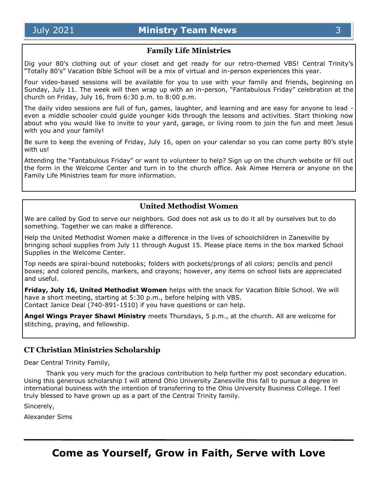# **Family Life Ministries**

Dig your 80's clothing out of your closet and get ready for our retro-themed VBS! Central Trinity's "Totally 80's" Vacation Bible School will be a mix of virtual and in-person experiences this year.

Four video-based sessions will be available for you to use with your family and friends, beginning on Sunday, July 11. The week will then wrap up with an in-person, "Fantabulous Friday" celebration at the church on Friday, July 16, from 6:30 p.m. to 8:00 p.m.

The daily video sessions are full of fun, games, laughter, and learning and are easy for anyone to lead even a middle schooler could guide younger kids through the lessons and activities. Start thinking now about who you would like to invite to your yard, garage, or living room to join the fun and meet Jesus with you and your family!

Be sure to keep the evening of Friday, July 16, open on your calendar so you can come party 80's style with us!

Attending the "Fantabulous Friday" or want to volunteer to help? Sign up on the church website or fill out the form in the Welcome Center and turn in to the church office. Ask Aimee Herrera or anyone on the Family Life Ministries team for more information.

# **United Methodist Women**

We are called by God to serve our neighbors. God does not ask us to do it all by ourselves but to do something. Together we can make a difference.

Help the United Methodist Women make a difference in the lives of schoolchildren in Zanesville by bringing school supplies from July 11 through August 15. Please place items in the box marked School Supplies in the Welcome Center.

Top needs are spiral-bound notebooks; folders with pockets/prongs of all colors; pencils and pencil boxes; and colored pencils, markers, and crayons; however, any items on school lists are appreciated and useful.

**Friday, July 16, United Methodist Women** helps with the snack for Vacation Bible School. We will have a short meeting, starting at 5:30 p.m., before helping with VBS. Contact Janice Deal (740-891-1510) if you have questions or can help.

**Angel Wings Prayer Shawl Ministry** meets Thursdays, 5 p.m., at the church. All are welcome for stitching, praying, and fellowship.

# **CT Christian Ministries Scholarship**

Dear Central Trinity Family,

Thank you very much for the gracious contribution to help further my post secondary education. Using this generous scholarship I will attend Ohio University Zanesville this fall to pursue a degree in international business with the intention of transferring to the Ohio University Business College. I feel truly blessed to have grown up as a part of the Central Trinity family.

Sincerely,

Alexander Sims